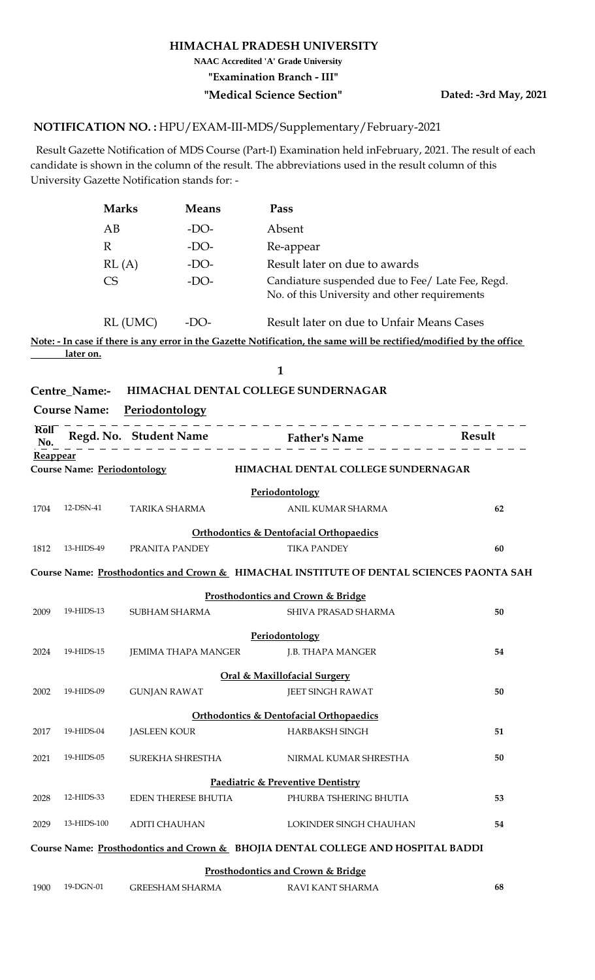## **HIMACHAL PRADESH UNIVERSITY**

**NAAC Accredited 'A' Grade University**

**"Examination Branch - III"**

## **"Medical Science Section" Dated: -3rd May, 2021**

## <code>NOTIFICATION</code> NO. : HPU/EXAM-III-MDS/Supplementary/February-2021

 Result Gazette Notification of MDS Course (Part-I) Examination held inFebruary, 2021. The result of each candidate is shown in the column of the result. The abbreviations used in the result column of this University Gazette Notification stands for: -

| <b>Marks</b> | <b>Means</b> | Pass                                                                                              |
|--------------|--------------|---------------------------------------------------------------------------------------------------|
| AВ           | $-DO-$       | Absent                                                                                            |
| R            | $-DO-$       | Re-appear                                                                                         |
| RL(A)        | $-DO-$       | Result later on due to awards                                                                     |
| CS           | $-DO-$       | Candiature suspended due to Fee/ Late Fee, Regd.<br>No. of this University and other requirements |

RL (UMC) -DO-Result later on due to Unfair Means Cases

**Note: - In case if there is any error in the Gazette Notification, the same will be rectified/modified by the office later on.**

**1**

| <b>Centre Name:-</b> | <b>HIMACHAL DENTAL COLLEGE SUNDERNAGAR</b> |  |
|----------------------|--------------------------------------------|--|
|                      |                                            |  |

**Course Name: Periodontology**

| Roll<br>No. |                                    |                            |                                                                                          |    |
|-------------|------------------------------------|----------------------------|------------------------------------------------------------------------------------------|----|
| Reappear    |                                    |                            |                                                                                          |    |
|             | <b>Course Name: Periodontology</b> |                            | HIMACHAL DENTAL COLLEGE SUNDERNAGAR                                                      |    |
|             |                                    |                            | Periodontology                                                                           |    |
| 1704        | 12-DSN-41                          | <b>TARIKA SHARMA</b>       | ANIL KUMAR SHARMA                                                                        | 62 |
|             |                                    |                            | <b>Orthodontics &amp; Dentofacial Orthopaedics</b>                                       |    |
| 1812        | 13-HIDS-49                         | PRANITA PANDEY             | <b>TIKA PANDEY</b>                                                                       | 60 |
|             |                                    |                            | Course Name: Prosthodontics and Crown & HIMACHAL INSTITUTE OF DENTAL SCIENCES PAONTA SAH |    |
|             |                                    |                            | Prosthodontics and Crown & Bridge                                                        |    |
| 2009        | 19-HIDS-13                         | SUBHAM SHARMA              | SHIVA PRASAD SHARMA                                                                      | 50 |
|             |                                    |                            | Periodontology                                                                           |    |
| 2024        | 19-HIDS-15                         | <b>JEMIMA THAPA MANGER</b> | J.B. THAPA MANGER                                                                        | 54 |
|             |                                    |                            | <b>Oral &amp; Maxillofacial Surgery</b>                                                  |    |
| 2002        | 19-HIDS-09                         | <b>GUNJAN RAWAT</b>        | <b>JEET SINGH RAWAT</b>                                                                  | 50 |
|             |                                    |                            | <b>Orthodontics &amp; Dentofacial Orthopaedics</b>                                       |    |
| 2017        | 19-HIDS-04                         | <b>JASLEEN KOUR</b>        | HARBAKSH SINGH                                                                           | 51 |
| 2021        | 19-HIDS-05                         | SUREKHA SHRESTHA           | NIRMAL KUMAR SHRESTHA                                                                    | 50 |
|             |                                    |                            | Paediatric & Preventive Dentistry                                                        |    |
| 2028        | 12-HIDS-33                         | <b>EDEN THERESE BHUTIA</b> | PHURBA TSHERING BHUTIA                                                                   | 53 |
| 2029        | 13-HIDS-100                        | <b>ADITI CHAUHAN</b>       | LOKINDER SINGH CHAUHAN                                                                   | 54 |
|             |                                    |                            | Course Name: Prosthodontics and Crown & BHOJIA DENTAL COLLEGE AND HOSPITAL BADDI         |    |
|             |                                    |                            | Prosthodontics and Crown & Bridge                                                        |    |
| 1900        | 19-DGN-01                          | <b>GREESHAM SHARMA</b>     | RAVI KANT SHARMA                                                                         | 68 |